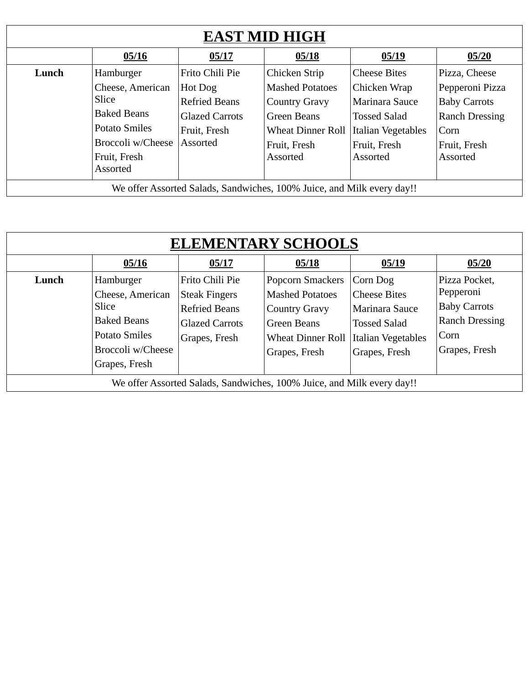| <b>EAST MID HIGH</b>                                                   |                      |                       |                          |                     |                       |  |
|------------------------------------------------------------------------|----------------------|-----------------------|--------------------------|---------------------|-----------------------|--|
|                                                                        | 05/16                | 05/17                 | 05/18                    | 05/19               | 05/20                 |  |
| Lunch                                                                  | Hamburger            | Frito Chili Pie       | Chicken Strip            | <b>Cheese Bites</b> | Pizza, Cheese         |  |
|                                                                        | Cheese, American     | Hot Dog               | <b>Mashed Potatoes</b>   | Chicken Wrap        | Pepperoni Pizza       |  |
|                                                                        | <b>Slice</b>         | <b>Refried Beans</b>  | <b>Country Gravy</b>     | Marinara Sauce      | <b>Baby Carrots</b>   |  |
|                                                                        | <b>Baked Beans</b>   | <b>Glazed Carrots</b> | Green Beans              | <b>Tossed Salad</b> | <b>Ranch Dressing</b> |  |
|                                                                        | <b>Potato Smiles</b> | Fruit, Fresh          | <b>Wheat Dinner Roll</b> | Italian Vegetables  | Corn                  |  |
|                                                                        | Broccoli w/Cheese    | Assorted              | Fruit, Fresh             | Fruit, Fresh        | Fruit, Fresh          |  |
|                                                                        | Fruit, Fresh         |                       | Assorted                 | <b>Assorted</b>     | <b>Assorted</b>       |  |
|                                                                        | Assorted             |                       |                          |                     |                       |  |
| We offer Assorted Salads, Sandwiches, 100% Juice, and Milk every day!! |                      |                       |                          |                     |                       |  |

| <b>ELEMENTARY SCHOOLS</b>                                              |                      |                       |                          |                     |                       |  |  |
|------------------------------------------------------------------------|----------------------|-----------------------|--------------------------|---------------------|-----------------------|--|--|
|                                                                        | 05/16                | 05/17                 | 05/18                    | 05/19               | 05/20                 |  |  |
| Lunch                                                                  | Hamburger            | Frito Chili Pie       | Popcorn Smackers         | Corn Dog            | Pizza Pocket,         |  |  |
|                                                                        | Cheese, American     | <b>Steak Fingers</b>  | <b>Mashed Potatoes</b>   | <b>Cheese Bites</b> | Pepperoni             |  |  |
|                                                                        | Slice                | <b>Refried Beans</b>  | <b>Country Gravy</b>     | Marinara Sauce      | <b>Baby Carrots</b>   |  |  |
|                                                                        | <b>Baked Beans</b>   | <b>Glazed Carrots</b> | <b>Green Beans</b>       | <b>Tossed Salad</b> | <b>Ranch Dressing</b> |  |  |
|                                                                        | <b>Potato Smiles</b> | Grapes, Fresh         | <b>Wheat Dinner Roll</b> | Italian Vegetables  | Corn                  |  |  |
|                                                                        | Broccoli w/Cheese    |                       | Grapes, Fresh            | Grapes, Fresh       | Grapes, Fresh         |  |  |
|                                                                        | Grapes, Fresh        |                       |                          |                     |                       |  |  |
| We offer Assorted Salads, Sandwiches, 100% Juice, and Milk every day!! |                      |                       |                          |                     |                       |  |  |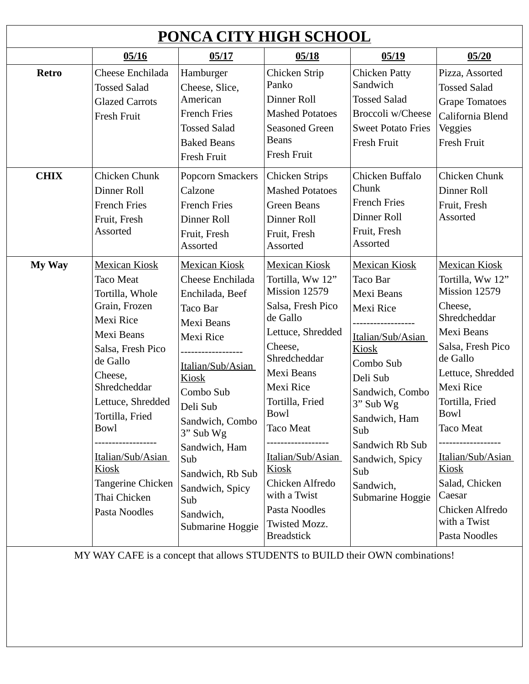| PONCA CITY HIGH SCHOOL |                                                                                                                                                                                                                                                                                                                       |                                                                                                                                                                                                                                                                                                                       |                                                                                                                                                                                                                                                                                                                                                                   |                                                                                                                                                                                                                                                                        |                                                                                                                                                                                                                                                                                                                                                           |  |
|------------------------|-----------------------------------------------------------------------------------------------------------------------------------------------------------------------------------------------------------------------------------------------------------------------------------------------------------------------|-----------------------------------------------------------------------------------------------------------------------------------------------------------------------------------------------------------------------------------------------------------------------------------------------------------------------|-------------------------------------------------------------------------------------------------------------------------------------------------------------------------------------------------------------------------------------------------------------------------------------------------------------------------------------------------------------------|------------------------------------------------------------------------------------------------------------------------------------------------------------------------------------------------------------------------------------------------------------------------|-----------------------------------------------------------------------------------------------------------------------------------------------------------------------------------------------------------------------------------------------------------------------------------------------------------------------------------------------------------|--|
|                        | 05/16                                                                                                                                                                                                                                                                                                                 | 05/17                                                                                                                                                                                                                                                                                                                 | 05/18                                                                                                                                                                                                                                                                                                                                                             | 05/19                                                                                                                                                                                                                                                                  | 05/20                                                                                                                                                                                                                                                                                                                                                     |  |
| <b>Retro</b>           | Cheese Enchilada<br><b>Tossed Salad</b><br><b>Glazed Carrots</b><br>Fresh Fruit                                                                                                                                                                                                                                       | Hamburger<br>Cheese, Slice,<br>American<br><b>French Fries</b><br><b>Tossed Salad</b><br><b>Baked Beans</b><br>Fresh Fruit                                                                                                                                                                                            | Chicken Strip<br>Panko<br>Dinner Roll<br><b>Mashed Potatoes</b><br><b>Seasoned Green</b><br><b>Beans</b><br>Fresh Fruit                                                                                                                                                                                                                                           | <b>Chicken Patty</b><br>Sandwich<br><b>Tossed Salad</b><br>Broccoli w/Cheese<br><b>Sweet Potato Fries</b><br>Fresh Fruit                                                                                                                                               | Pizza, Assorted<br><b>Tossed Salad</b><br><b>Grape Tomatoes</b><br>California Blend<br>Veggies<br>Fresh Fruit                                                                                                                                                                                                                                             |  |
| <b>CHIX</b>            | Chicken Chunk<br>Dinner Roll<br><b>French Fries</b><br>Fruit, Fresh<br><b>Assorted</b>                                                                                                                                                                                                                                | Popcorn Smackers<br>Calzone<br><b>French Fries</b><br>Dinner Roll<br>Fruit, Fresh<br><b>Assorted</b>                                                                                                                                                                                                                  | <b>Chicken Strips</b><br><b>Mashed Potatoes</b><br><b>Green Beans</b><br>Dinner Roll<br>Fruit, Fresh<br>Assorted                                                                                                                                                                                                                                                  | Chicken Buffalo<br>Chunk<br><b>French Fries</b><br>Dinner Roll<br>Fruit, Fresh<br>Assorted                                                                                                                                                                             | Chicken Chunk<br>Dinner Roll<br>Fruit, Fresh<br>Assorted                                                                                                                                                                                                                                                                                                  |  |
| My Way                 | <b>Mexican Kiosk</b><br><b>Taco Meat</b><br>Tortilla, Whole<br>Grain, Frozen<br><b>Mexi Rice</b><br>Mexi Beans<br>Salsa, Fresh Pico<br>de Gallo<br>Cheese,<br>Shredcheddar<br>Lettuce, Shredded<br>Tortilla, Fried<br>Bowl<br>Italian/Sub/Asian<br><u>Kiosk</u><br>Tangerine Chicken<br>Thai Chicken<br>Pasta Noodles | <b>Mexican Kiosk</b><br>Cheese Enchilada<br>Enchilada, Beef<br><b>Taco Bar</b><br>Mexi Beans<br><b>Mexi Rice</b><br>Italian/Sub/Asian<br><b>Kiosk</b><br>Combo Sub<br>Deli Sub<br>Sandwich, Combo<br>3" Sub Wg<br>Sandwich, Ham<br>Sub<br>Sandwich, Rb Sub<br>Sandwich, Spicy<br>Sub<br>Sandwich,<br>Submarine Hoggie | <b>Mexican Kiosk</b><br>Tortilla, Ww 12"<br>Mission 12579<br>Salsa, Fresh Pico<br>de Gallo<br>Lettuce, Shredded<br>Cheese,<br>Shredcheddar<br><b>Mexi Beans</b><br><b>Mexi Rice</b><br>Tortilla, Fried<br>Bowl<br><b>Taco Meat</b><br>Italian/Sub/Asian<br><b>Kiosk</b><br>Chicken Alfredo<br>with a Twist<br>Pasta Noodles<br>Twisted Mozz.<br><b>Breadstick</b> | <b>Mexican Kiosk</b><br><b>Taco Bar</b><br><b>Mexi Beans</b><br>Mexi Rice<br>Italian/Sub/Asian<br>Kiosk<br>Combo Sub<br>Deli Sub<br>Sandwich, Combo<br>3" Sub Wg<br>Sandwich, Ham<br>Sub<br>Sandwich Rb Sub<br>Sandwich, Spicy<br>Sub<br>Sandwich,<br>Submarine Hoggie | <b>Mexican Kiosk</b><br>Tortilla, Ww 12"<br>Mission 12579<br>Cheese,<br>Shredcheddar<br><b>Mexi Beans</b><br>Salsa, Fresh Pico<br>de Gallo<br>Lettuce, Shredded<br>Mexi Rice<br>Tortilla, Fried<br>Bowl<br>Taco Meat<br>. <b>.</b> .<br>Italian/Sub/Asian<br><u>Kiosk</u><br>Salad, Chicken<br>Caesar<br>Chicken Alfredo<br>with a Twist<br>Pasta Noodles |  |

MY WAY CAFE is a concept that allows STUDENTS to BUILD their OWN combinations!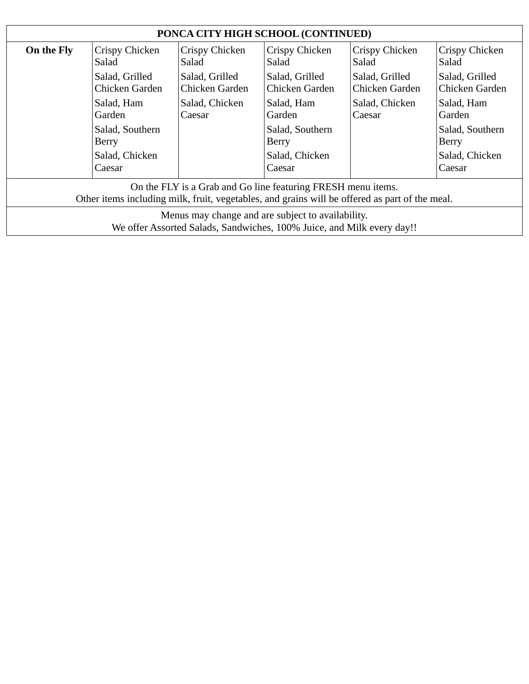| PONCA CITY HIGH SCHOOL (CONTINUED)                                                                                                                             |                                  |                                  |                                  |                                  |                                  |  |  |
|----------------------------------------------------------------------------------------------------------------------------------------------------------------|----------------------------------|----------------------------------|----------------------------------|----------------------------------|----------------------------------|--|--|
| On the Fly                                                                                                                                                     | Crispy Chicken<br>Salad          | Crispy Chicken<br>Salad          | Crispy Chicken<br>Salad          | Crispy Chicken<br>Salad          | Crispy Chicken<br>Salad          |  |  |
|                                                                                                                                                                | Salad, Grilled<br>Chicken Garden | Salad, Grilled<br>Chicken Garden | Salad, Grilled<br>Chicken Garden | Salad, Grilled<br>Chicken Garden | Salad, Grilled<br>Chicken Garden |  |  |
|                                                                                                                                                                | Salad, Ham<br>Garden             | Salad, Chicken<br>Caesar         | Salad, Ham<br>Garden             | Salad, Chicken<br>Caesar         | Salad, Ham<br>Garden             |  |  |
|                                                                                                                                                                | Salad, Southern<br><b>Berry</b>  |                                  | Salad, Southern<br><b>Berry</b>  |                                  | Salad, Southern<br><b>Berry</b>  |  |  |
|                                                                                                                                                                | Salad, Chicken<br>Caesar         |                                  | Salad, Chicken<br>Caesar         |                                  | Salad, Chicken<br>Caesar         |  |  |
| On the FLY is a Grab and Go line featuring FRESH menu items.<br>Other items including milk, fruit, vegetables, and grains will be offered as part of the meal. |                                  |                                  |                                  |                                  |                                  |  |  |
| Menus may change and are subject to availability.<br>We offer Assorted Salads, Sandwiches, 100% Juice, and Milk every day!!                                    |                                  |                                  |                                  |                                  |                                  |  |  |